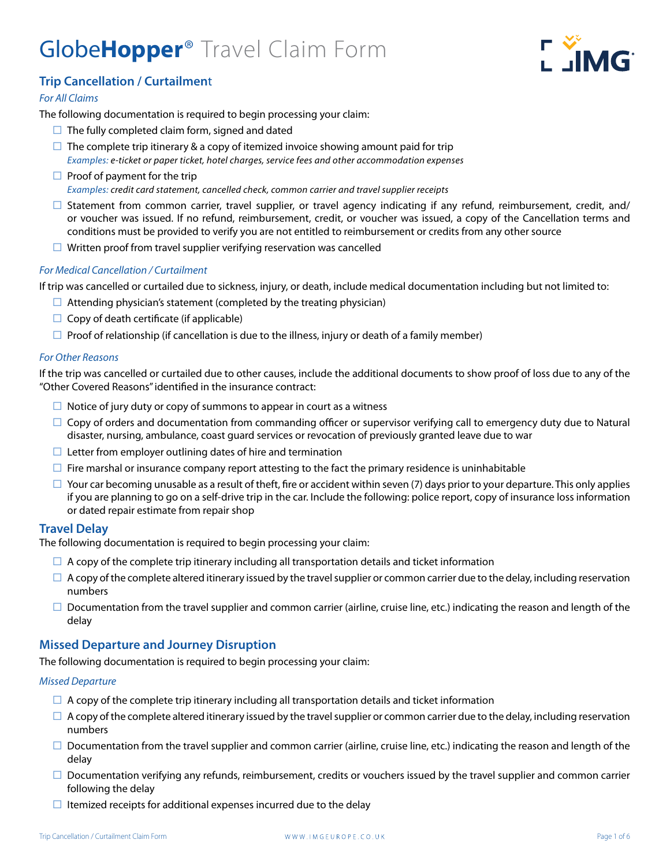# Globe**Hopper**® Travel Claim Form



# **Trip Cancellation / Curtailmen**t

# *For All Claims*

The following documentation is required to begin processing your claim:

- $\Box$  The fully completed claim form, signed and dated
- $\square$  The complete trip itinerary & a copy of itemized invoice showing amount paid for trip *Examples: e-ticket or paper ticket, hotel charges, service fees and other accommodation expenses*
- $\Box$  Proof of payment for the trip *Examples: credit card statement, cancelled check, common carrier and travel supplier receipts*
- $\square$  Statement from common carrier, travel supplier, or travel agency indicating if any refund, reimbursement, credit, and/ or voucher was issued. If no refund, reimbursement, credit, or voucher was issued, a copy of the Cancellation terms and conditions must be provided to verify you are not entitled to reimbursement or credits from any other source
- $\Box$  Written proof from travel supplier verifying reservation was cancelled

# *For Medical Cancellation / Curtailment*

If trip was cancelled or curtailed due to sickness, injury, or death, include medical documentation including but not limited to:

- $\Box$  Attending physician's statement (completed by the treating physician)
- $\Box$  Copy of death certificate (if applicable)
- $\Box$  Proof of relationship (if cancellation is due to the illness, injury or death of a family member)

# *For Other Reasons*

If the trip was cancelled or curtailed due to other causes, include the additional documents to show proof of loss due to any of the "Other Covered Reasons" identified in the insurance contract:

- $\Box$  Notice of jury duty or copy of summons to appear in court as a witness
- $\Box$  Copy of orders and documentation from commanding officer or supervisor verifying call to emergency duty due to Natural disaster, nursing, ambulance, coast guard services or revocation of previously granted leave due to war
- $\Box$  Letter from employer outlining dates of hire and termination
- $\Box$  Fire marshal or insurance company report attesting to the fact the primary residence is uninhabitable
- $\Box$  Your car becoming unusable as a result of theft, fire or accident within seven (7) days prior to your departure. This only applies if you are planning to go on a self-drive trip in the car. Include the following: police report, copy of insurance loss information or dated repair estimate from repair shop

# **Travel Delay**

The following documentation is required to begin processing your claim:

- $\Box$  A copy of the complete trip itinerary including all transportation details and ticket information
- $\Box$  A copy of the complete altered itinerary issued by the travel supplier or common carrier due to the delay, including reservation numbers
- $\Box$  Documentation from the travel supplier and common carrier (airline, cruise line, etc.) indicating the reason and length of the delay

# **Missed Departure and Journey Disruption**

The following documentation is required to begin processing your claim:

# *Missed Departure*

- $\Box$  A copy of the complete trip itinerary including all transportation details and ticket information
- $\Box$  A copy of the complete altered itinerary issued by the travel supplier or common carrier due to the delay, including reservation numbers
- $\Box$  Documentation from the travel supplier and common carrier (airline, cruise line, etc.) indicating the reason and length of the delay
- $\square$  Documentation verifying any refunds, reimbursement, credits or vouchers issued by the travel supplier and common carrier following the delay
- $\Box$  Itemized receipts for additional expenses incurred due to the delay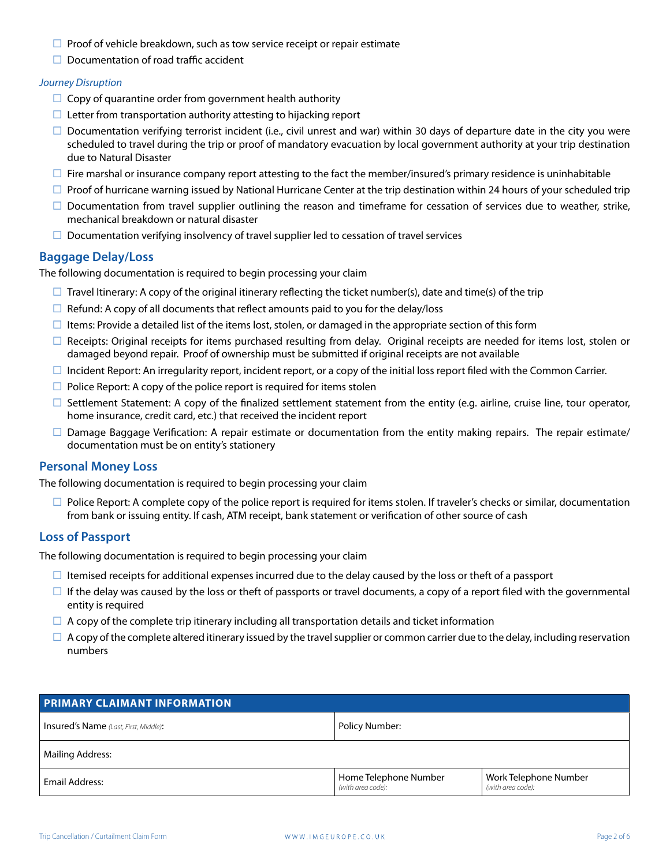- $\Box$  Proof of vehicle breakdown, such as tow service receipt or repair estimate
- $\Box$  Documentation of road traffic accident

#### *Journey Disruption*

- $\Box$  Copy of quarantine order from government health authority
- $\Box$  Letter from transportation authority attesting to hijacking report
- $\square$  Documentation verifying terrorist incident (i.e., civil unrest and war) within 30 days of departure date in the city you were scheduled to travel during the trip or proof of mandatory evacuation by local government authority at your trip destination due to Natural Disaster
- $\Box$  Fire marshal or insurance company report attesting to the fact the member/insured's primary residence is uninhabitable
- $\square$  Proof of hurricane warning issued by National Hurricane Center at the trip destination within 24 hours of your scheduled trip
- $\square$  Documentation from travel supplier outlining the reason and timeframe for cessation of services due to weather, strike, mechanical breakdown or natural disaster
- $\square$  Documentation verifying insolvency of travel supplier led to cessation of travel services

# **Baggage Delay/Loss**

The following documentation is required to begin processing your claim

- $\Box$  Travel Itinerary: A copy of the original itinerary reflecting the ticket number(s), date and time(s) of the trip
- $\Box$  Refund: A copy of all documents that reflect amounts paid to you for the delay/loss
- $\Box$  Items: Provide a detailed list of the items lost, stolen, or damaged in the appropriate section of this form
- $\square$  Receipts: Original receipts for items purchased resulting from delay. Original receipts are needed for items lost, stolen or damaged beyond repair. Proof of ownership must be submitted if original receipts are not available
- $\Box$  Incident Report: An irregularity report, incident report, or a copy of the initial loss report filed with the Common Carrier.
- $\Box$  Police Report: A copy of the police report is required for items stolen
- $\square$  Settlement Statement: A copy of the finalized settlement statement from the entity (e.g. airline, cruise line, tour operator, home insurance, credit card, etc.) that received the incident report
- $\square$  Damage Baggage Verification: A repair estimate or documentation from the entity making repairs. The repair estimate/ documentation must be on entity's stationery

# **Personal Money Loss**

The following documentation is required to begin processing your claim

 $\Box$  Police Report: A complete copy of the police report is required for items stolen. If traveler's checks or similar, documentation from bank or issuing entity. If cash, ATM receipt, bank statement or verification of other source of cash

# **Loss of Passport**

The following documentation is required to begin processing your claim

- $\Box$  Itemised receipts for additional expenses incurred due to the delay caused by the loss or theft of a passport
- $\Box$  If the delay was caused by the loss or theft of passports or travel documents, a copy of a report filed with the governmental entity is required
- $\Box$  A copy of the complete trip itinerary including all transportation details and ticket information
- $\Box$  A copy of the complete altered itinerary issued by the travel supplier or common carrier due to the delay, including reservation numbers

| <b>PRIMARY CLAIMANT INFORMATION</b>          |                                            |                                            |  |
|----------------------------------------------|--------------------------------------------|--------------------------------------------|--|
| <b>Insured's Name</b> (Last, First, Middle): | Policy Number:                             |                                            |  |
| Mailing Address:                             |                                            |                                            |  |
| Email Address:                               | Home Telephone Number<br>(with area code): | Work Telephone Number<br>(with area code): |  |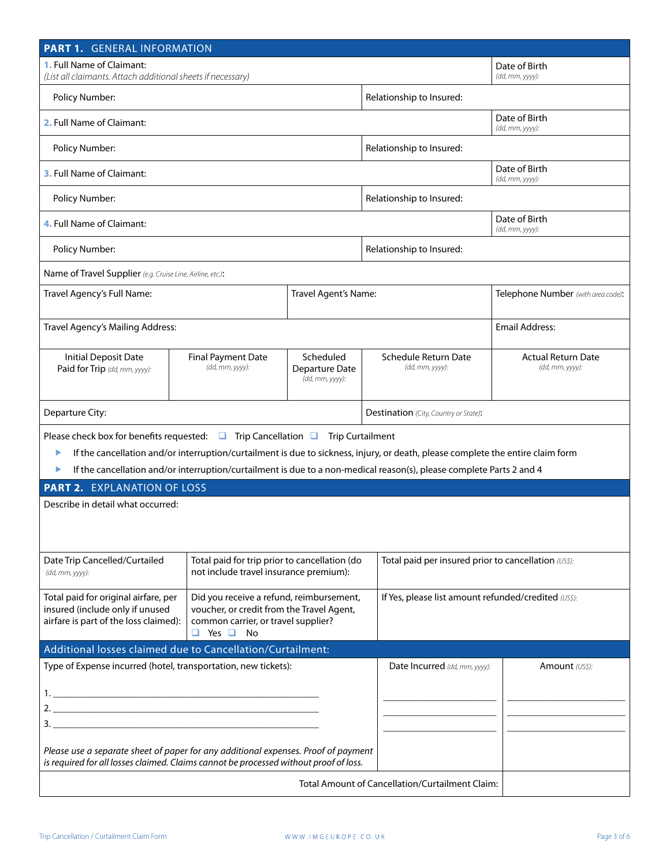| PART 1. GENERAL INFORMATION                                                                                                                                                                                                                                              |                                                                                         |                                                      |                                                                                                                                                                                                                                                         |                                                      |  |
|--------------------------------------------------------------------------------------------------------------------------------------------------------------------------------------------------------------------------------------------------------------------------|-----------------------------------------------------------------------------------------|------------------------------------------------------|---------------------------------------------------------------------------------------------------------------------------------------------------------------------------------------------------------------------------------------------------------|------------------------------------------------------|--|
| <b>1.</b> Full Name of Claimant:<br>(List all claimants. Attach additional sheets if necessary)                                                                                                                                                                          |                                                                                         |                                                      |                                                                                                                                                                                                                                                         | Date of Birth<br>(dd, mm, yyyy):                     |  |
| Policy Number:                                                                                                                                                                                                                                                           |                                                                                         |                                                      | Relationship to Insured:                                                                                                                                                                                                                                |                                                      |  |
| 2. Full Name of Claimant:                                                                                                                                                                                                                                                |                                                                                         |                                                      | Date of Birth<br>(dd, mm, yyyy):                                                                                                                                                                                                                        |                                                      |  |
| Policy Number:                                                                                                                                                                                                                                                           |                                                                                         | Relationship to Insured:                             |                                                                                                                                                                                                                                                         |                                                      |  |
| <b>3. Full Name of Claimant:</b>                                                                                                                                                                                                                                         |                                                                                         |                                                      | Date of Birth<br>(dd, mm, yyyy):                                                                                                                                                                                                                        |                                                      |  |
| Policy Number:                                                                                                                                                                                                                                                           |                                                                                         | Relationship to Insured:                             |                                                                                                                                                                                                                                                         |                                                      |  |
| 4. Full Name of Claimant:                                                                                                                                                                                                                                                |                                                                                         |                                                      | Date of Birth<br>(dd, mm, yyyy):                                                                                                                                                                                                                        |                                                      |  |
| Policy Number:                                                                                                                                                                                                                                                           |                                                                                         |                                                      | Relationship to Insured:                                                                                                                                                                                                                                |                                                      |  |
| Name of Travel Supplier (e.g. Cruise Line, Airline, etc.):                                                                                                                                                                                                               |                                                                                         |                                                      |                                                                                                                                                                                                                                                         |                                                      |  |
| Travel Agency's Full Name:                                                                                                                                                                                                                                               |                                                                                         | Travel Agent's Name:                                 |                                                                                                                                                                                                                                                         | Telephone Number (with area code):                   |  |
| Travel Agency's Mailing Address:                                                                                                                                                                                                                                         |                                                                                         |                                                      |                                                                                                                                                                                                                                                         | <b>Email Address:</b>                                |  |
| <b>Initial Deposit Date</b><br>Paid for Trip (dd, mm, yyyy):                                                                                                                                                                                                             | <b>Final Payment Date</b><br>(dd, mm, yyyy):                                            | Scheduled<br>Departure Date<br>(dd, mm, yyyy):       | Schedule Return Date<br>(dd, mm, yyyy):                                                                                                                                                                                                                 | <b>Actual Return Date</b><br>(dd, mm, yyyy):         |  |
| Departure City:                                                                                                                                                                                                                                                          |                                                                                         |                                                      | Destination (City, Country or State):                                                                                                                                                                                                                   |                                                      |  |
| Please check box for benefits requested: $\Box$ Trip Cancellation $\Box$ Trip Curtailment<br>▶<br>▶                                                                                                                                                                      |                                                                                         |                                                      | If the cancellation and/or interruption/curtailment is due to sickness, injury, or death, please complete the entire claim form<br>If the cancellation and/or interruption/curtailment is due to a non-medical reason(s), please complete Parts 2 and 4 |                                                      |  |
| <b>PART 2. EXPLANATION OF LOSS</b>                                                                                                                                                                                                                                       |                                                                                         |                                                      |                                                                                                                                                                                                                                                         |                                                      |  |
| Describe in detail what occurred:                                                                                                                                                                                                                                        |                                                                                         |                                                      |                                                                                                                                                                                                                                                         |                                                      |  |
| Date Trip Cancelled/Curtailed<br>(dd, mm, yyyy):                                                                                                                                                                                                                         | Total paid for trip prior to cancellation (do<br>not include travel insurance premium): |                                                      |                                                                                                                                                                                                                                                         | Total paid per insured prior to cancellation (US\$): |  |
| Did you receive a refund, reimbursement,<br>Total paid for original airfare, per<br>insured (include only if unused<br>voucher, or credit from the Travel Agent,<br>airfare is part of the loss claimed):<br>common carrier, or travel supplier?<br>$\Box$ Yes $\Box$ No |                                                                                         | If Yes, please list amount refunded/credited (US\$): |                                                                                                                                                                                                                                                         |                                                      |  |
| Additional losses claimed due to Cancellation/Curtailment:                                                                                                                                                                                                               |                                                                                         |                                                      |                                                                                                                                                                                                                                                         |                                                      |  |
| Type of Expense incurred (hotel, transportation, new tickets):                                                                                                                                                                                                           |                                                                                         |                                                      | Date Incurred (dd, mm, yyyy):                                                                                                                                                                                                                           | Amount (US\$):                                       |  |
| Please use a separate sheet of paper for any additional expenses. Proof of payment<br>is required for all losses claimed. Claims cannot be processed without proof of loss.                                                                                              |                                                                                         |                                                      |                                                                                                                                                                                                                                                         |                                                      |  |
|                                                                                                                                                                                                                                                                          |                                                                                         |                                                      | Total Amount of Cancellation/Curtailment Claim:                                                                                                                                                                                                         |                                                      |  |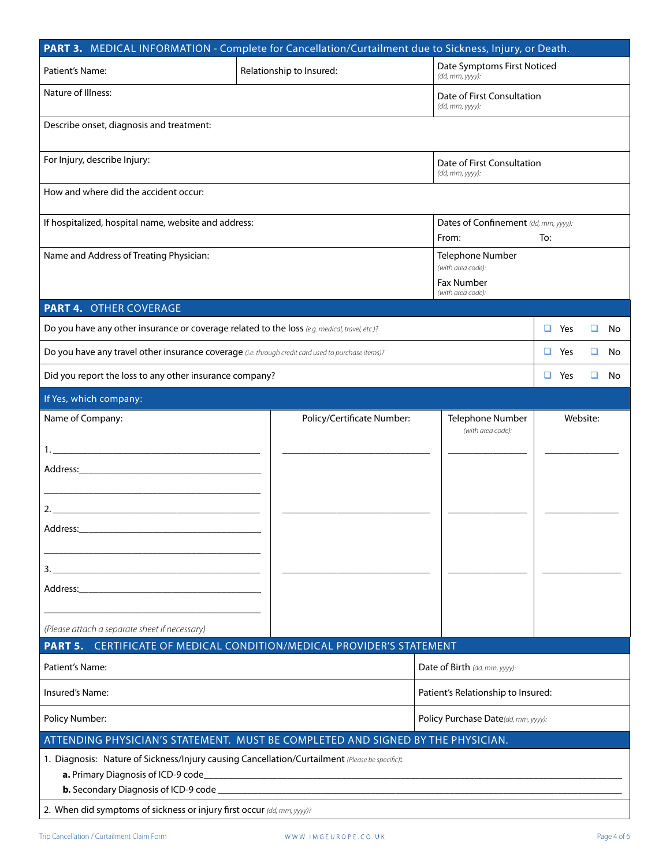| PART 3. MEDICAL INFORMATION - Complete for Cancellation/Curtailment due to Sickness, Injury, or Death.                                                                                                                         |                                                                                                       |                                                                                 |                            |          |     |  |
|--------------------------------------------------------------------------------------------------------------------------------------------------------------------------------------------------------------------------------|-------------------------------------------------------------------------------------------------------|---------------------------------------------------------------------------------|----------------------------|----------|-----|--|
| Patient's Name:                                                                                                                                                                                                                | Relationship to Insured:                                                                              | Date Symptoms First Noticed<br>(dd, mm, yyyy):                                  |                            |          |     |  |
| Nature of Illness:                                                                                                                                                                                                             |                                                                                                       | (dd, mm, yyyy):                                                                 | Date of First Consultation |          |     |  |
| Describe onset, diagnosis and treatment:                                                                                                                                                                                       |                                                                                                       |                                                                                 |                            |          |     |  |
| For Injury, describe Injury:<br>Date of First Consultation<br>(dd, mm, yyyy):                                                                                                                                                  |                                                                                                       |                                                                                 |                            |          |     |  |
| How and where did the accident occur:                                                                                                                                                                                          |                                                                                                       |                                                                                 |                            |          |     |  |
|                                                                                                                                                                                                                                | If hospitalized, hospital name, website and address:<br>Dates of Confinement (dd, mm, yyyy):<br>From: |                                                                                 | To:                        |          |     |  |
| Name and Address of Treating Physician:                                                                                                                                                                                        |                                                                                                       | Telephone Number<br>(with area code):<br><b>Fax Number</b><br>(with area code): |                            |          |     |  |
| <b>PART 4. OTHER COVERAGE</b>                                                                                                                                                                                                  |                                                                                                       |                                                                                 |                            |          |     |  |
| Do you have any other insurance or coverage related to the loss (e.g. medical, travel, etc.)?                                                                                                                                  |                                                                                                       |                                                                                 | $\Box$ Yes                 | u        | No. |  |
| Do you have any travel other insurance coverage (i.e. through credit card used to purchase items)?                                                                                                                             |                                                                                                       |                                                                                 | $\Box$ Yes                 | u        | No. |  |
| Did you report the loss to any other insurance company?                                                                                                                                                                        |                                                                                                       |                                                                                 | $\Box$ Yes                 | u        | No. |  |
| If Yes, which company:                                                                                                                                                                                                         |                                                                                                       |                                                                                 |                            |          |     |  |
| Name of Company:                                                                                                                                                                                                               | Policy/Certificate Number:                                                                            | Telephone Number<br>(with area code):                                           |                            | Website: |     |  |
|                                                                                                                                                                                                                                |                                                                                                       |                                                                                 |                            |          |     |  |
| <u> 1989 - Johann Stein, mars et al. 1990 - Ann an Amerikaansk kommunister (</u>                                                                                                                                               |                                                                                                       |                                                                                 |                            |          |     |  |
| Address:                                                                                                                                                                                                                       |                                                                                                       |                                                                                 |                            |          |     |  |
| 3.<br>the control of the control of the control of the control of the control of the control of                                                                                                                                |                                                                                                       |                                                                                 |                            |          |     |  |
| Address: Analysis and the state of the state of the state of the state of the state of the state of the state of the state of the state of the state of the state of the state of the state of the state of the state of the s |                                                                                                       |                                                                                 |                            |          |     |  |
| (Please attach a separate sheet if necessary)                                                                                                                                                                                  |                                                                                                       |                                                                                 |                            |          |     |  |
| PART 5. CERTIFICATE OF MEDICAL CONDITION/MEDICAL PROVIDER'S STATEMENT                                                                                                                                                          |                                                                                                       |                                                                                 |                            |          |     |  |
| Patient's Name:                                                                                                                                                                                                                |                                                                                                       | Date of Birth (dd, mm, yyyy):                                                   |                            |          |     |  |
| Insured's Name:                                                                                                                                                                                                                |                                                                                                       | Patient's Relationship to Insured:                                              |                            |          |     |  |
| Policy Number:                                                                                                                                                                                                                 | Policy Purchase Date(dd, mm, yyyy):                                                                   |                                                                                 |                            |          |     |  |
| ATTENDING PHYSICIAN'S STATEMENT. MUST BE COMPLETED AND SIGNED BY THE PHYSICIAN.                                                                                                                                                |                                                                                                       |                                                                                 |                            |          |     |  |
| 1. Diagnosis: Nature of Sickness/Injury causing Cancellation/Curtailment (Please be specific):<br>a. Primary Diagnosis of ICD-9 code                                                                                           |                                                                                                       |                                                                                 |                            |          |     |  |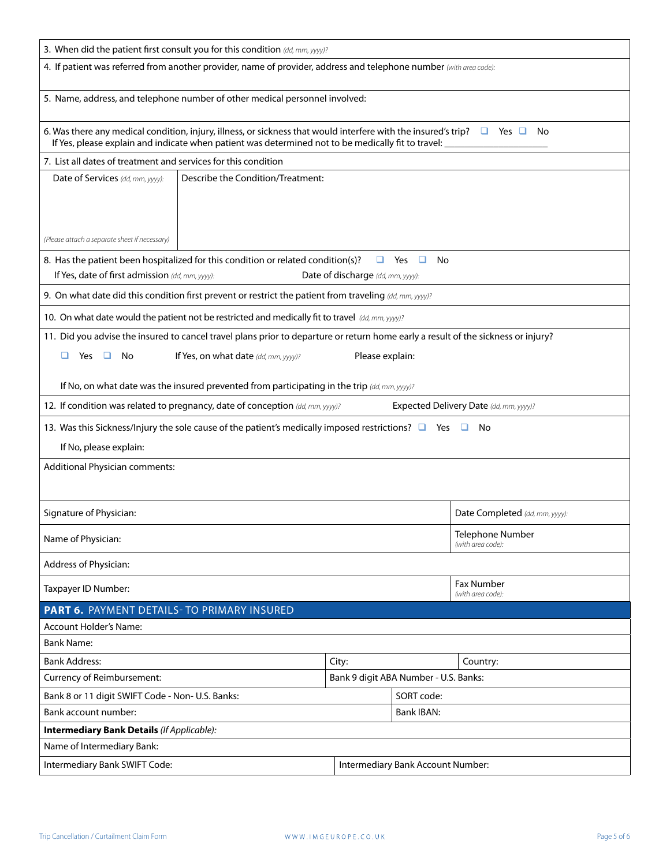| 3. When did the patient first consult you for this condition (dd, mm, yyyy)?                                                                                                                                                                 |  |  |  |  |
|----------------------------------------------------------------------------------------------------------------------------------------------------------------------------------------------------------------------------------------------|--|--|--|--|
| 4. If patient was referred from another provider, name of provider, address and telephone number (with area code):                                                                                                                           |  |  |  |  |
| 5. Name, address, and telephone number of other medical personnel involved:                                                                                                                                                                  |  |  |  |  |
| 6. Was there any medical condition, injury, illness, or sickness that would interfere with the insured's trip? $\Box$ Yes $\Box$<br>No<br>If Yes, please explain and indicate when patient was determined not to be medically fit to travel: |  |  |  |  |
| 7. List all dates of treatment and services for this condition                                                                                                                                                                               |  |  |  |  |
| Describe the Condition/Treatment:<br>Date of Services (dd, mm, yyyy):                                                                                                                                                                        |  |  |  |  |
|                                                                                                                                                                                                                                              |  |  |  |  |
|                                                                                                                                                                                                                                              |  |  |  |  |
|                                                                                                                                                                                                                                              |  |  |  |  |
| (Please attach a separate sheet if necessary)                                                                                                                                                                                                |  |  |  |  |
| 8. Has the patient been hospitalized for this condition or related condition(s)?<br>Yes<br>No<br>□                                                                                                                                           |  |  |  |  |
| If Yes, date of first admission (dd, mm, yyyy):<br>Date of discharge (dd, mm, yyyy):                                                                                                                                                         |  |  |  |  |
| 9. On what date did this condition first prevent or restrict the patient from traveling (dd, mm, yyyy)?                                                                                                                                      |  |  |  |  |
| 10. On what date would the patient not be restricted and medically fit to travel (dd, mm, yyyy)?                                                                                                                                             |  |  |  |  |
| 11. Did you advise the insured to cancel travel plans prior to departure or return home early a result of the sickness or injury?                                                                                                            |  |  |  |  |
| If Yes, on what date (dd, mm, yyyy)?<br>Please explain:<br>□<br>Yes<br>□<br>No                                                                                                                                                               |  |  |  |  |
|                                                                                                                                                                                                                                              |  |  |  |  |
| If No, on what date was the insured prevented from participating in the trip (dd, mm, yyyy)?                                                                                                                                                 |  |  |  |  |
| 12. If condition was related to pregnancy, date of conception (dd, mm, yyyy)?<br>Expected Delivery Date (dd, mm, yyyy)?                                                                                                                      |  |  |  |  |
| 13. Was this Sickness/Injury the sole cause of the patient's medically imposed restrictions? $\Box$ Yes $\Box$ No                                                                                                                            |  |  |  |  |
| If No, please explain:                                                                                                                                                                                                                       |  |  |  |  |
| <b>Additional Physician comments:</b>                                                                                                                                                                                                        |  |  |  |  |
|                                                                                                                                                                                                                                              |  |  |  |  |
|                                                                                                                                                                                                                                              |  |  |  |  |
| Signature of Physician:<br>Date Completed (dd, mm, yyyy):                                                                                                                                                                                    |  |  |  |  |
| Telephone Number                                                                                                                                                                                                                             |  |  |  |  |
| Name of Physician:<br>(with area code):                                                                                                                                                                                                      |  |  |  |  |
| Address of Physician:                                                                                                                                                                                                                        |  |  |  |  |
| Fax Number<br>Taxpayer ID Number:                                                                                                                                                                                                            |  |  |  |  |
| (with area code):<br>PART 6. PAYMENT DETAILS- TO PRIMARY INSURED                                                                                                                                                                             |  |  |  |  |
| <b>Account Holder's Name:</b>                                                                                                                                                                                                                |  |  |  |  |
| <b>Bank Name:</b>                                                                                                                                                                                                                            |  |  |  |  |
| <b>Bank Address:</b><br>City:<br>Country:                                                                                                                                                                                                    |  |  |  |  |
| Bank 9 digit ABA Number - U.S. Banks:<br>Currency of Reimbursement:                                                                                                                                                                          |  |  |  |  |
| Bank 8 or 11 digit SWIFT Code - Non- U.S. Banks:<br>SORT code:                                                                                                                                                                               |  |  |  |  |
| Bank account number:<br><b>Bank IBAN:</b>                                                                                                                                                                                                    |  |  |  |  |
| <b>Intermediary Bank Details (If Applicable):</b>                                                                                                                                                                                            |  |  |  |  |
| Name of Intermediary Bank:                                                                                                                                                                                                                   |  |  |  |  |
| Intermediary Bank SWIFT Code:<br>Intermediary Bank Account Number:                                                                                                                                                                           |  |  |  |  |